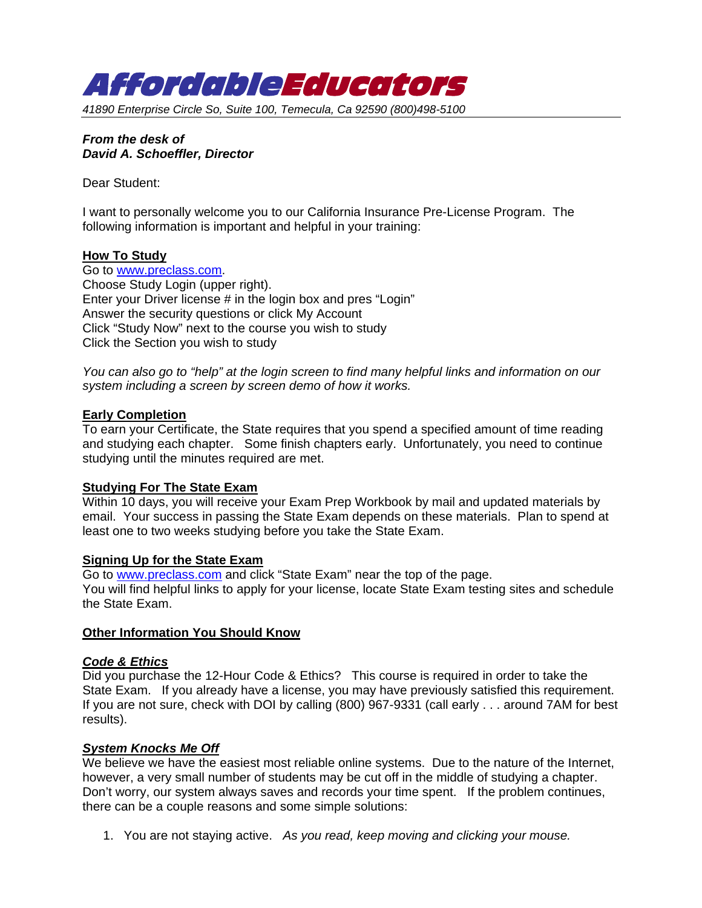

*41890 Enterprise Circle So, Suite 100, Temecula, Ca 92590 (800)498-5100* 

## *From the desk of David A. Schoeffler, Director*

Dear Student:

I want to personally welcome you to our California Insurance Pre-License Program. The following information is important and helpful in your training:

## **How To Study**

Go to www.preclass.com. Choose Study Login (upper right). Enter your Driver license # in the login box and pres "Login" Answer the security questions or click My Account Click "Study Now" next to the course you wish to study Click the Section you wish to study

*You can also go to "help" at the login screen to find many helpful links and information on our system including a screen by screen demo of how it works.* 

## **Early Completion**

To earn your Certificate, the State requires that you spend a specified amount of time reading and studying each chapter. Some finish chapters early. Unfortunately, you need to continue studying until the minutes required are met.

## **Studying For The State Exam**

Within 10 days, you will receive your Exam Prep Workbook by mail and updated materials by email. Your success in passing the State Exam depends on these materials. Plan to spend at least one to two weeks studying before you take the State Exam.

## **Signing Up for the State Exam**

Go to www.preclass.com and click "State Exam" near the top of the page. You will find helpful links to apply for your license, locate State Exam testing sites and schedule the State Exam.

## **Other Information You Should Know**

## *Code & Ethics*

Did you purchase the 12-Hour Code & Ethics? This course is required in order to take the State Exam. If you already have a license, you may have previously satisfied this requirement. If you are not sure, check with DOI by calling (800) 967-9331 (call early . . . around 7AM for best results).

## *System Knocks Me Off*

We believe we have the easiest most reliable online systems. Due to the nature of the Internet, however, a very small number of students may be cut off in the middle of studying a chapter. Don't worry, our system always saves and records your time spent. If the problem continues, there can be a couple reasons and some simple solutions:

1. You are not staying active. *As you read, keep moving and clicking your mouse.*